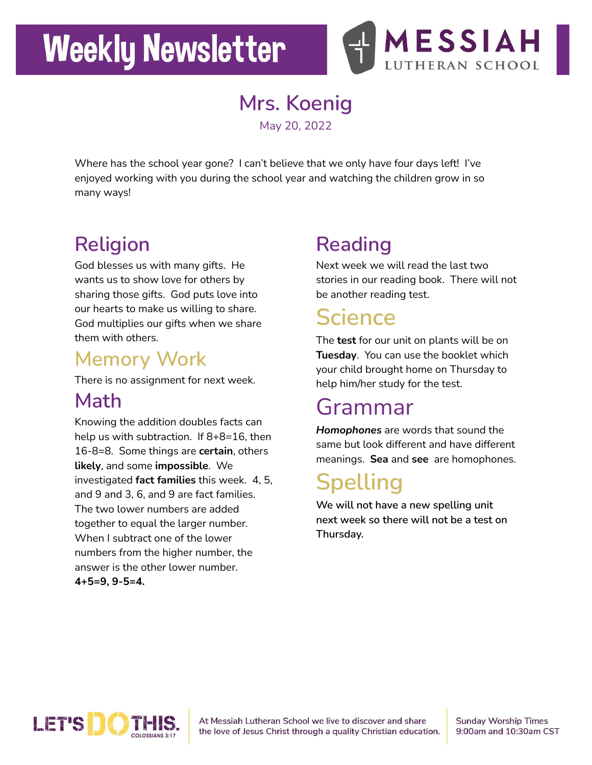# **Weekly Newsletter**



**Mrs. Koenig** May 20, 2022

Where has the school year gone? I can't believe that we only have four days left! I've enjoyed working with you during the school year and watching the children grow in so many ways!

## **Religion**

God blesses us with many gifts. He wants us to show love for others by sharing those gifts. God puts love into our hearts to make us willing to share. God multiplies our gifts when we share them with others.

#### **Memory Work**

There is no assignment for next week.

### **Math**

Knowing the addition doubles facts can help us with subtraction. If 8+8=16, then 16-8=8. Some things are **certain**, others **likely**, and some **impossible**. We investigated **fact families** this week. 4, 5, and 9 and 3, 6, and 9 are fact families. The two lower numbers are added together to equal the larger number. When I subtract one of the lower numbers from the higher number, the answer is the other lower number. **4+5=9, 9-5=4.**

## **Reading**

Next week we will read the last two stories in our reading book. There will not be another reading test.

## **Science**

The **test** for our unit on plants will be on **Tuesday**. You can use the booklet which your child brought home on Thursday to help him/her study for the test.

## Grammar

*Homophones* are words that sound the same but look different and have different meanings. **Sea** and **see** are homophones.

## **Spelling**

**We will not have a new spelling unit next week so there will not be a test on Thursday.**



At Messiah Lutheran School we live to discover and share the love of Jesus Christ through a quality Christian education. **Sunday Worship Times** 9:00am and 10:30am CST